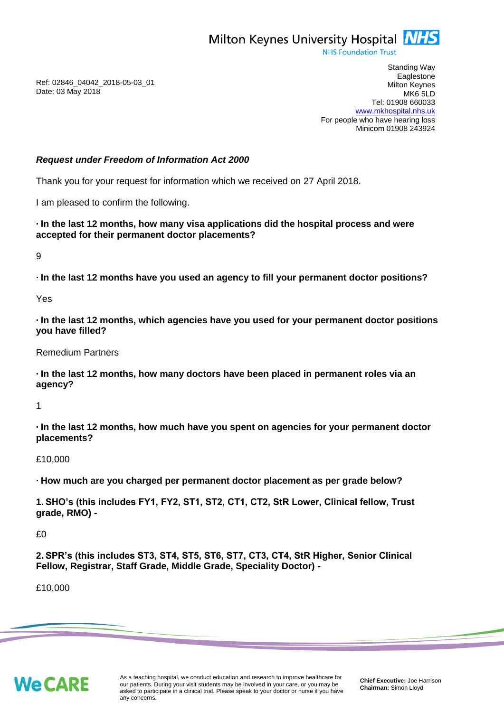

**NHS Foundation Trust** 

Ref: 02846\_04042\_2018-05-03\_01 Date: 03 May 2018

Standing Way **Eaglestone** Milton Keynes MK6 5LD Tel: 01908 660033 [www.mkhospital.nhs.uk](http://www.mkhospital.nhs.uk/) For people who have hearing loss Minicom 01908 243924

### *Request under Freedom of Information Act 2000*

Thank you for your request for information which we received on 27 April 2018.

I am pleased to confirm the following.

**· In the last 12 months, how many visa applications did the hospital process and were accepted for their permanent doctor placements?**

9

**· In the last 12 months have you used an agency to fill your permanent doctor positions?**

Yes

**· In the last 12 months, which agencies have you used for your permanent doctor positions you have filled?**

Remedium Partners

**· In the last 12 months, how many doctors have been placed in permanent roles via an agency?**

1

**· In the last 12 months, how much have you spent on agencies for your permanent doctor placements?**

£10,000

**· How much are you charged per permanent doctor placement as per grade below?** 

**1. SHO's (this includes FY1, FY2, ST1, ST2, CT1, CT2, StR Lower, Clinical fellow, Trust grade, RMO) -**

 $£0$ 

**2. SPR's (this includes ST3, ST4, ST5, ST6, ST7, CT3, CT4, StR Higher, Senior Clinical Fellow, Registrar, Staff Grade, Middle Grade, Speciality Doctor) -**

£10,000

**We CARE**